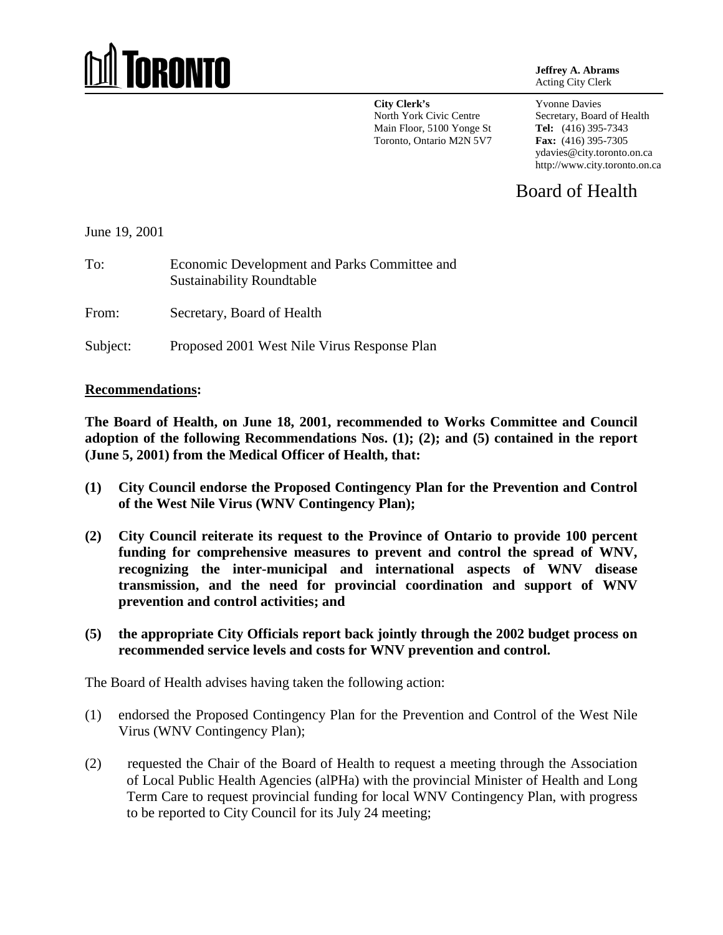# **IRONTO**

**Jeffrey A. Abrams** Acting City Clerk

**City Clerk's** North York Civic Centre Main Floor, 5100 Yonge St Toronto, Ontario M2N 5V7 Yvonne Davies Secretary, Board of Health **Tel:** (416) 395-7343 **Fax:** (416) 395-7305 ydavies@city.toronto.on.ca http://www.city.toronto.on.ca

Board of Health

June 19, 2001

To: Economic Development and Parks Committee and Sustainability Roundtable

From: Secretary, Board of Health

Subject: Proposed 2001 West Nile Virus Response Plan

#### **Recommendations:**

**The Board of Health, on June 18, 2001, recommended to Works Committee and Council adoption of the following Recommendations Nos. (1); (2); and (5) contained in the report (June 5, 2001) from the Medical Officer of Health, that:**

- **(1) City Council endorse the Proposed Contingency Plan for the Prevention and Control of the West Nile Virus (WNV Contingency Plan);**
- **(2) City Council reiterate its request to the Province of Ontario to provide 100 percent funding for comprehensive measures to prevent and control the spread of WNV, recognizing the inter-municipal and international aspects of WNV disease transmission, and the need for provincial coordination and support of WNV prevention and control activities; and**
- **(5) the appropriate City Officials report back jointly through the 2002 budget process on recommended service levels and costs for WNV prevention and control.**

The Board of Health advises having taken the following action:

- (1) endorsed the Proposed Contingency Plan for the Prevention and Control of the West Nile Virus (WNV Contingency Plan);
- (2) requested the Chair of the Board of Health to request a meeting through the Association of Local Public Health Agencies (alPHa) with the provincial Minister of Health and Long Term Care to request provincial funding for local WNV Contingency Plan, with progress to be reported to City Council for its July 24 meeting;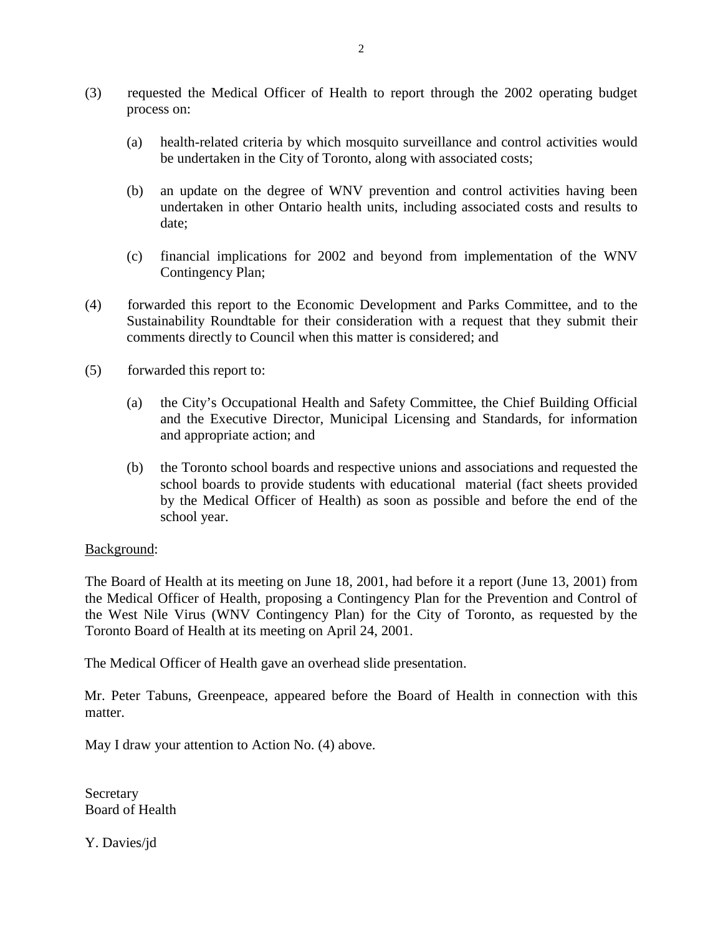- (3) requested the Medical Officer of Health to report through the 2002 operating budget process on:
	- (a) health-related criteria by which mosquito surveillance and control activities would be undertaken in the City of Toronto, along with associated costs;
	- (b) an update on the degree of WNV prevention and control activities having been undertaken in other Ontario health units, including associated costs and results to date;
	- (c) financial implications for 2002 and beyond from implementation of the WNV Contingency Plan;
- (4) forwarded this report to the Economic Development and Parks Committee, and to the Sustainability Roundtable for their consideration with a request that they submit their comments directly to Council when this matter is considered; and
- (5) forwarded this report to:
	- (a) the City's Occupational Health and Safety Committee, the Chief Building Official and the Executive Director, Municipal Licensing and Standards, for information and appropriate action; and
	- (b) the Toronto school boards and respective unions and associations and requested the school boards to provide students with educational material (fact sheets provided by the Medical Officer of Health) as soon as possible and before the end of the school year.

## Background:

The Board of Health at its meeting on June 18, 2001, had before it a report (June 13, 2001) from the Medical Officer of Health, proposing a Contingency Plan for the Prevention and Control of the West Nile Virus (WNV Contingency Plan) for the City of Toronto, as requested by the Toronto Board of Health at its meeting on April 24, 2001.

The Medical Officer of Health gave an overhead slide presentation.

Mr. Peter Tabuns, Greenpeace, appeared before the Board of Health in connection with this matter.

May I draw your attention to Action No. (4) above.

Secretary Board of Health

Y. Davies/jd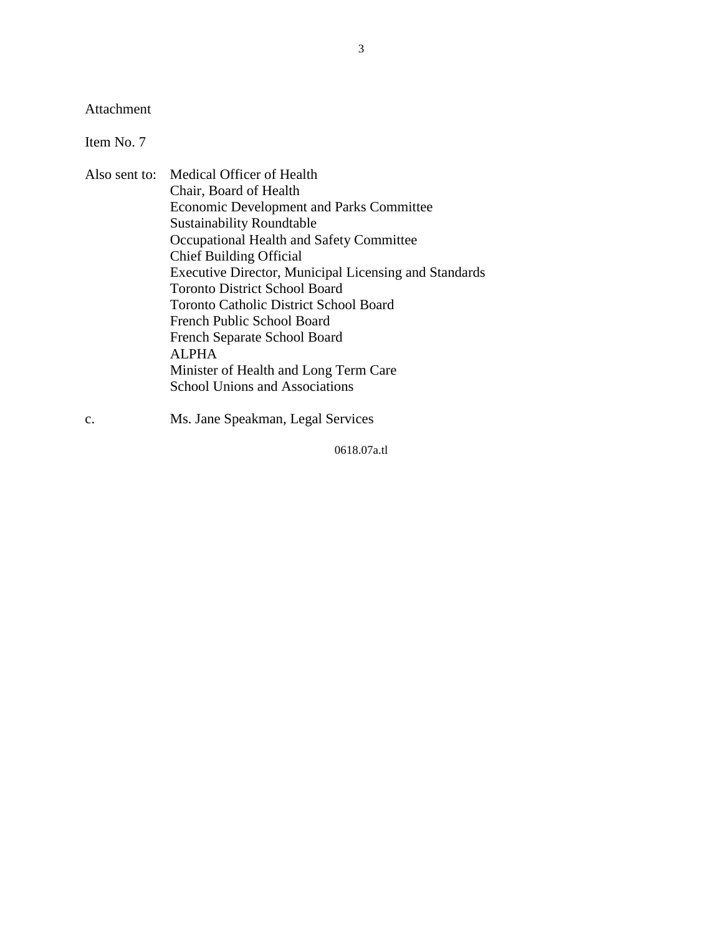Attachment

Item No. 7

- Also sent to: Medical Officer of Health Chair, Board of Health Economic Development and Parks Committee Sustainability Roundtable Occupational Health and Safety Committee Chief Building Official Executive Director, Municipal Licensing and Standards Toronto District School Board Toronto Catholic District School Board French Public School Board French Separate School Board ALPHA Minister of Health and Long Term Care School Unions and Associations
- c. Ms. Jane Speakman, Legal Services

0618.07a.tl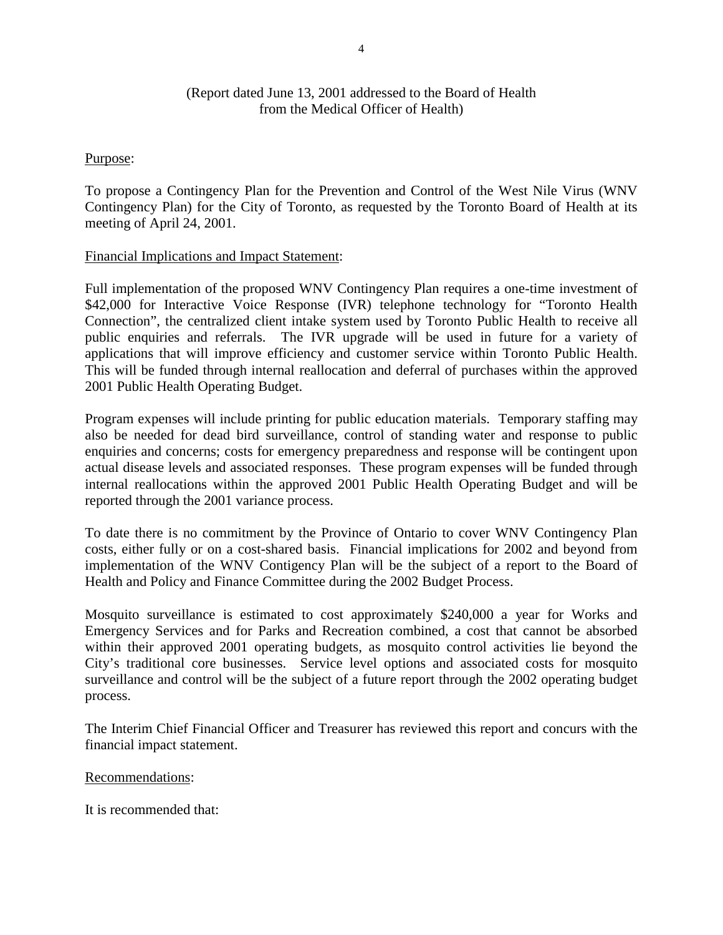# (Report dated June 13, 2001 addressed to the Board of Health from the Medical Officer of Health)

#### Purpose:

To propose a Contingency Plan for the Prevention and Control of the West Nile Virus (WNV Contingency Plan) for the City of Toronto, as requested by the Toronto Board of Health at its meeting of April 24, 2001.

#### Financial Implications and Impact Statement:

Full implementation of the proposed WNV Contingency Plan requires a one-time investment of \$42,000 for Interactive Voice Response (IVR) telephone technology for "Toronto Health Connection", the centralized client intake system used by Toronto Public Health to receive all public enquiries and referrals. The IVR upgrade will be used in future for a variety of applications that will improve efficiency and customer service within Toronto Public Health. This will be funded through internal reallocation and deferral of purchases within the approved 2001 Public Health Operating Budget.

Program expenses will include printing for public education materials. Temporary staffing may also be needed for dead bird surveillance, control of standing water and response to public enquiries and concerns; costs for emergency preparedness and response will be contingent upon actual disease levels and associated responses. These program expenses will be funded through internal reallocations within the approved 2001 Public Health Operating Budget and will be reported through the 2001 variance process.

To date there is no commitment by the Province of Ontario to cover WNV Contingency Plan costs, either fully or on a cost-shared basis. Financial implications for 2002 and beyond from implementation of the WNV Contigency Plan will be the subject of a report to the Board of Health and Policy and Finance Committee during the 2002 Budget Process.

Mosquito surveillance is estimated to cost approximately \$240,000 a year for Works and Emergency Services and for Parks and Recreation combined, a cost that cannot be absorbed within their approved 2001 operating budgets, as mosquito control activities lie beyond the City's traditional core businesses. Service level options and associated costs for mosquito surveillance and control will be the subject of a future report through the 2002 operating budget process.

The Interim Chief Financial Officer and Treasurer has reviewed this report and concurs with the financial impact statement.

#### Recommendations:

It is recommended that: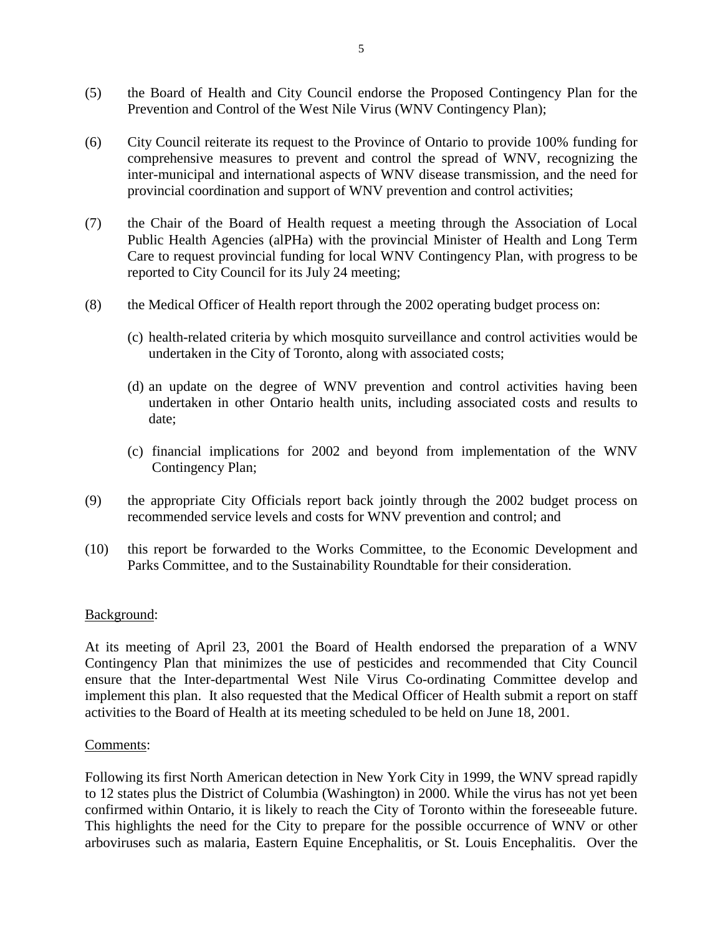- (5) the Board of Health and City Council endorse the Proposed Contingency Plan for the Prevention and Control of the West Nile Virus (WNV Contingency Plan);
- (6) City Council reiterate its request to the Province of Ontario to provide 100% funding for comprehensive measures to prevent and control the spread of WNV, recognizing the inter-municipal and international aspects of WNV disease transmission, and the need for provincial coordination and support of WNV prevention and control activities;
- (7) the Chair of the Board of Health request a meeting through the Association of Local Public Health Agencies (alPHa) with the provincial Minister of Health and Long Term Care to request provincial funding for local WNV Contingency Plan, with progress to be reported to City Council for its July 24 meeting;
- (8) the Medical Officer of Health report through the 2002 operating budget process on:
	- (c) health-related criteria by which mosquito surveillance and control activities would be undertaken in the City of Toronto, along with associated costs;
	- (d) an update on the degree of WNV prevention and control activities having been undertaken in other Ontario health units, including associated costs and results to date;
	- (c) financial implications for 2002 and beyond from implementation of the WNV Contingency Plan;
- (9) the appropriate City Officials report back jointly through the 2002 budget process on recommended service levels and costs for WNV prevention and control; and
- (10) this report be forwarded to the Works Committee, to the Economic Development and Parks Committee, and to the Sustainability Roundtable for their consideration.

#### Background:

At its meeting of April 23, 2001 the Board of Health endorsed the preparation of a WNV Contingency Plan that minimizes the use of pesticides and recommended that City Council ensure that the Inter-departmental West Nile Virus Co-ordinating Committee develop and implement this plan. It also requested that the Medical Officer of Health submit a report on staff activities to the Board of Health at its meeting scheduled to be held on June 18, 2001.

#### Comments:

Following its first North American detection in New York City in 1999, the WNV spread rapidly to 12 states plus the District of Columbia (Washington) in 2000. While the virus has not yet been confirmed within Ontario, it is likely to reach the City of Toronto within the foreseeable future. This highlights the need for the City to prepare for the possible occurrence of WNV or other arboviruses such as malaria, Eastern Equine Encephalitis, or St. Louis Encephalitis. Over the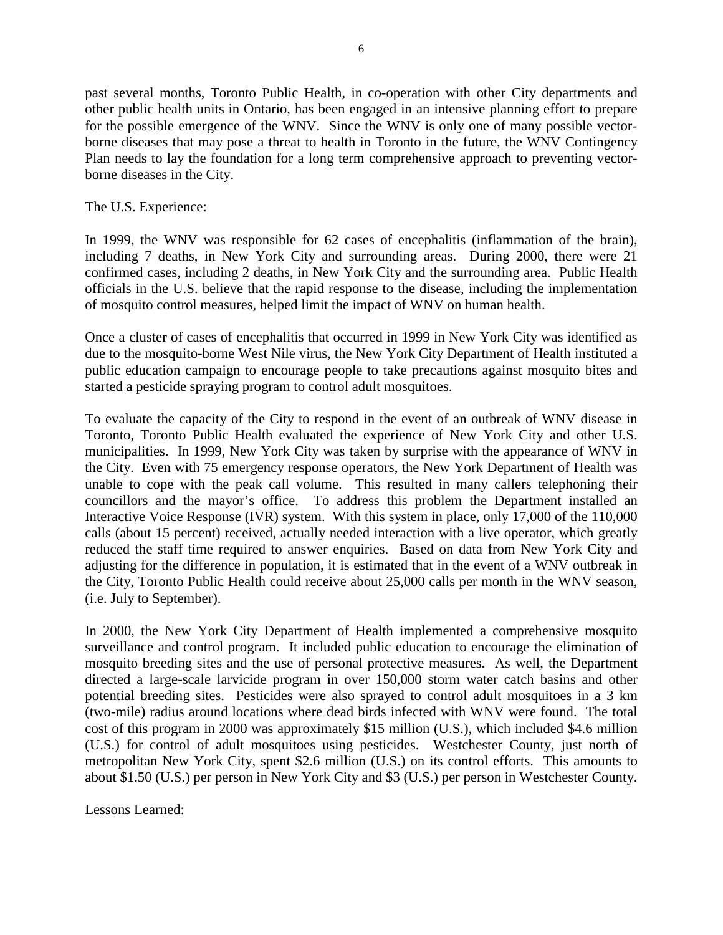past several months, Toronto Public Health, in co-operation with other City departments and other public health units in Ontario, has been engaged in an intensive planning effort to prepare for the possible emergence of the WNV. Since the WNV is only one of many possible vectorborne diseases that may pose a threat to health in Toronto in the future, the WNV Contingency Plan needs to lay the foundation for a long term comprehensive approach to preventing vectorborne diseases in the City.

The U.S. Experience:

In 1999, the WNV was responsible for 62 cases of encephalitis (inflammation of the brain), including 7 deaths, in New York City and surrounding areas. During 2000, there were 21 confirmed cases, including 2 deaths, in New York City and the surrounding area. Public Health officials in the U.S. believe that the rapid response to the disease, including the implementation of mosquito control measures, helped limit the impact of WNV on human health.

Once a cluster of cases of encephalitis that occurred in 1999 in New York City was identified as due to the mosquito-borne West Nile virus, the New York City Department of Health instituted a public education campaign to encourage people to take precautions against mosquito bites and started a pesticide spraying program to control adult mosquitoes.

To evaluate the capacity of the City to respond in the event of an outbreak of WNV disease in Toronto, Toronto Public Health evaluated the experience of New York City and other U.S. municipalities. In 1999, New York City was taken by surprise with the appearance of WNV in the City. Even with 75 emergency response operators, the New York Department of Health was unable to cope with the peak call volume. This resulted in many callers telephoning their councillors and the mayor's office. To address this problem the Department installed an Interactive Voice Response (IVR) system. With this system in place, only 17,000 of the 110,000 calls (about 15 percent) received, actually needed interaction with a live operator, which greatly reduced the staff time required to answer enquiries. Based on data from New York City and adjusting for the difference in population, it is estimated that in the event of a WNV outbreak in the City, Toronto Public Health could receive about 25,000 calls per month in the WNV season, (i.e. July to September).

In 2000, the New York City Department of Health implemented a comprehensive mosquito surveillance and control program. It included public education to encourage the elimination of mosquito breeding sites and the use of personal protective measures. As well, the Department directed a large-scale larvicide program in over 150,000 storm water catch basins and other potential breeding sites. Pesticides were also sprayed to control adult mosquitoes in a 3 km (two-mile) radius around locations where dead birds infected with WNV were found. The total cost of this program in 2000 was approximately \$15 million (U.S.), which included \$4.6 million (U.S.) for control of adult mosquitoes using pesticides. Westchester County, just north of metropolitan New York City, spent \$2.6 million (U.S.) on its control efforts. This amounts to about \$1.50 (U.S.) per person in New York City and \$3 (U.S.) per person in Westchester County.

Lessons Learned: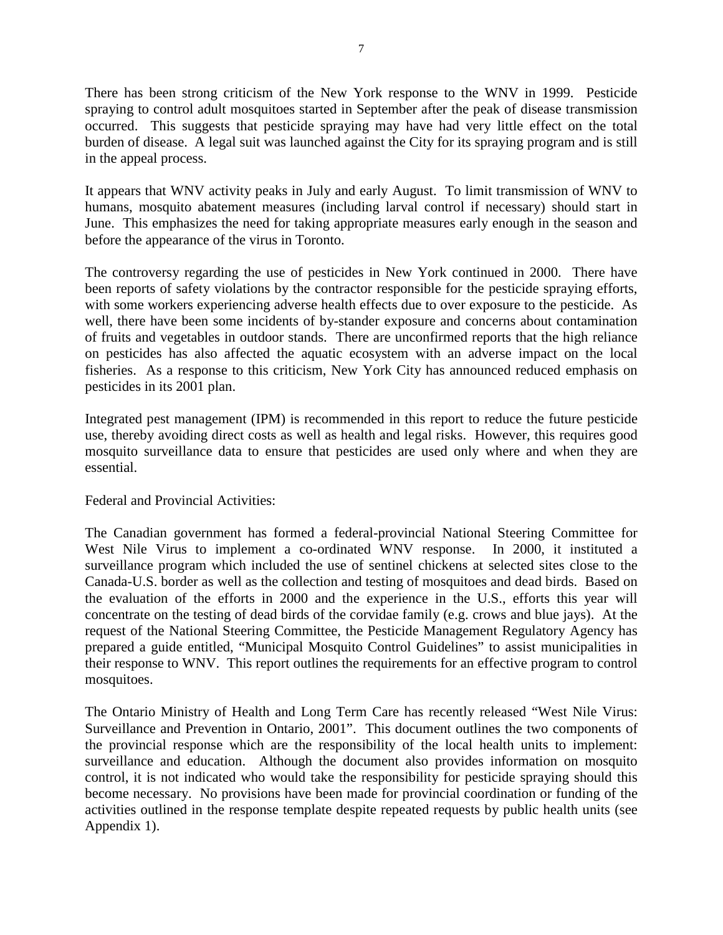There has been strong criticism of the New York response to the WNV in 1999. Pesticide spraying to control adult mosquitoes started in September after the peak of disease transmission occurred. This suggests that pesticide spraying may have had very little effect on the total burden of disease. A legal suit was launched against the City for its spraying program and is still in the appeal process.

It appears that WNV activity peaks in July and early August. To limit transmission of WNV to humans, mosquito abatement measures (including larval control if necessary) should start in June. This emphasizes the need for taking appropriate measures early enough in the season and before the appearance of the virus in Toronto.

The controversy regarding the use of pesticides in New York continued in 2000. There have been reports of safety violations by the contractor responsible for the pesticide spraying efforts, with some workers experiencing adverse health effects due to over exposure to the pesticide. As well, there have been some incidents of by-stander exposure and concerns about contamination of fruits and vegetables in outdoor stands. There are unconfirmed reports that the high reliance on pesticides has also affected the aquatic ecosystem with an adverse impact on the local fisheries. As a response to this criticism, New York City has announced reduced emphasis on pesticides in its 2001 plan.

Integrated pest management (IPM) is recommended in this report to reduce the future pesticide use, thereby avoiding direct costs as well as health and legal risks. However, this requires good mosquito surveillance data to ensure that pesticides are used only where and when they are essential.

# Federal and Provincial Activities:

The Canadian government has formed a federal-provincial National Steering Committee for West Nile Virus to implement a co-ordinated WNV response. In 2000, it instituted a surveillance program which included the use of sentinel chickens at selected sites close to the Canada-U.S. border as well as the collection and testing of mosquitoes and dead birds. Based on the evaluation of the efforts in 2000 and the experience in the U.S., efforts this year will concentrate on the testing of dead birds of the corvidae family (e.g. crows and blue jays). At the request of the National Steering Committee, the Pesticide Management Regulatory Agency has prepared a guide entitled, "Municipal Mosquito Control Guidelines" to assist municipalities in their response to WNV. This report outlines the requirements for an effective program to control mosquitoes.

The Ontario Ministry of Health and Long Term Care has recently released "West Nile Virus: Surveillance and Prevention in Ontario, 2001". This document outlines the two components of the provincial response which are the responsibility of the local health units to implement: surveillance and education. Although the document also provides information on mosquito control, it is not indicated who would take the responsibility for pesticide spraying should this become necessary. No provisions have been made for provincial coordination or funding of the activities outlined in the response template despite repeated requests by public health units (see Appendix 1).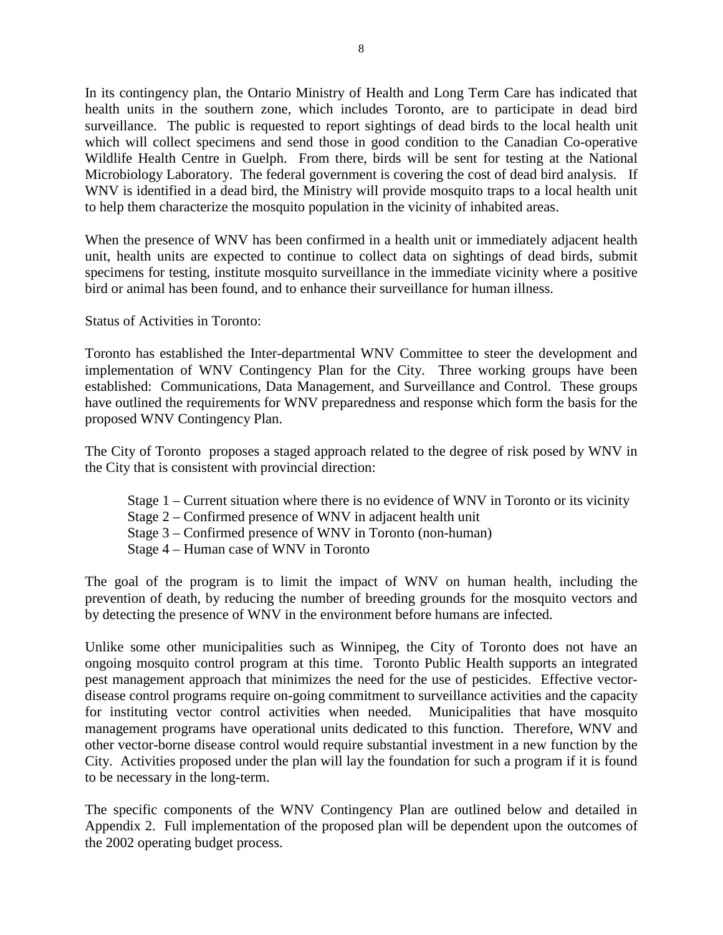In its contingency plan, the Ontario Ministry of Health and Long Term Care has indicated that health units in the southern zone, which includes Toronto, are to participate in dead bird surveillance. The public is requested to report sightings of dead birds to the local health unit which will collect specimens and send those in good condition to the Canadian Co-operative Wildlife Health Centre in Guelph. From there, birds will be sent for testing at the National Microbiology Laboratory. The federal government is covering the cost of dead bird analysis. If WNV is identified in a dead bird, the Ministry will provide mosquito traps to a local health unit to help them characterize the mosquito population in the vicinity of inhabited areas.

When the presence of WNV has been confirmed in a health unit or immediately adjacent health unit, health units are expected to continue to collect data on sightings of dead birds, submit specimens for testing, institute mosquito surveillance in the immediate vicinity where a positive bird or animal has been found, and to enhance their surveillance for human illness.

## Status of Activities in Toronto:

Toronto has established the Inter-departmental WNV Committee to steer the development and implementation of WNV Contingency Plan for the City. Three working groups have been established: Communications, Data Management, and Surveillance and Control. These groups have outlined the requirements for WNV preparedness and response which form the basis for the proposed WNV Contingency Plan.

The City of Toronto proposes a staged approach related to the degree of risk posed by WNV in the City that is consistent with provincial direction:

- Stage 1 Current situation where there is no evidence of WNV in Toronto or its vicinity
- Stage 2 Confirmed presence of WNV in adjacent health unit
- Stage 3 Confirmed presence of WNV in Toronto (non-human)
- Stage 4 Human case of WNV in Toronto

The goal of the program is to limit the impact of WNV on human health, including the prevention of death, by reducing the number of breeding grounds for the mosquito vectors and by detecting the presence of WNV in the environment before humans are infected.

Unlike some other municipalities such as Winnipeg, the City of Toronto does not have an ongoing mosquito control program at this time. Toronto Public Health supports an integrated pest management approach that minimizes the need for the use of pesticides. Effective vectordisease control programs require on-going commitment to surveillance activities and the capacity for instituting vector control activities when needed. Municipalities that have mosquito management programs have operational units dedicated to this function. Therefore, WNV and other vector-borne disease control would require substantial investment in a new function by the City. Activities proposed under the plan will lay the foundation for such a program if it is found to be necessary in the long-term.

The specific components of the WNV Contingency Plan are outlined below and detailed in Appendix 2. Full implementation of the proposed plan will be dependent upon the outcomes of the 2002 operating budget process.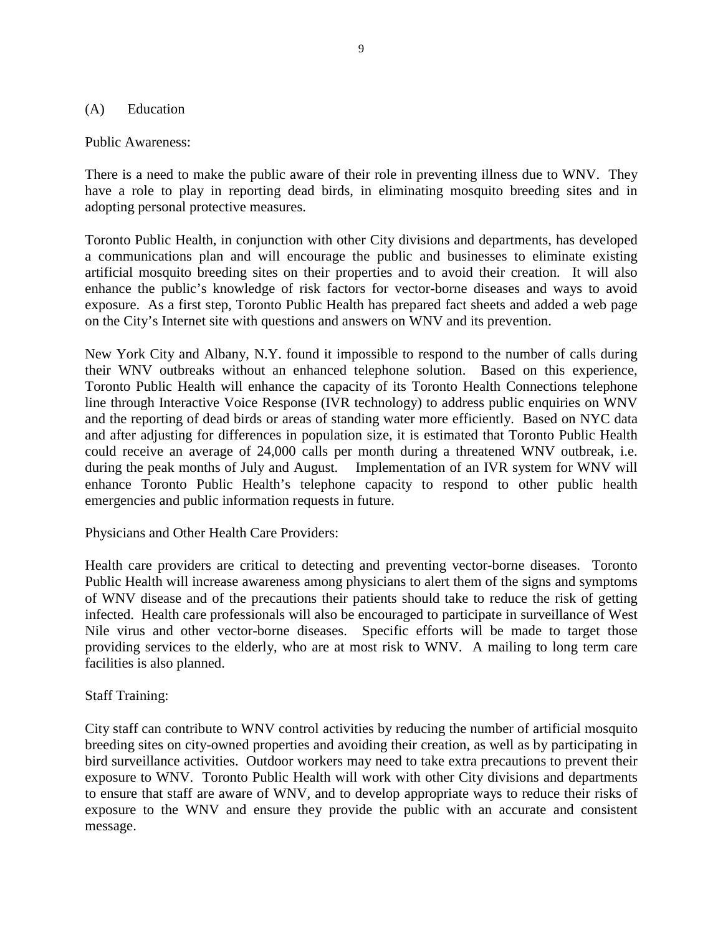#### (A) Education

Public Awareness:

There is a need to make the public aware of their role in preventing illness due to WNV. They have a role to play in reporting dead birds, in eliminating mosquito breeding sites and in adopting personal protective measures.

Toronto Public Health, in conjunction with other City divisions and departments, has developed a communications plan and will encourage the public and businesses to eliminate existing artificial mosquito breeding sites on their properties and to avoid their creation. It will also enhance the public's knowledge of risk factors for vector-borne diseases and ways to avoid exposure. As a first step, Toronto Public Health has prepared fact sheets and added a web page on the City's Internet site with questions and answers on WNV and its prevention.

New York City and Albany, N.Y. found it impossible to respond to the number of calls during their WNV outbreaks without an enhanced telephone solution. Based on this experience, Toronto Public Health will enhance the capacity of its Toronto Health Connections telephone line through Interactive Voice Response (IVR technology) to address public enquiries on WNV and the reporting of dead birds or areas of standing water more efficiently. Based on NYC data and after adjusting for differences in population size, it is estimated that Toronto Public Health could receive an average of 24,000 calls per month during a threatened WNV outbreak, i.e. during the peak months of July and August. Implementation of an IVR system for WNV will enhance Toronto Public Health's telephone capacity to respond to other public health emergencies and public information requests in future.

Physicians and Other Health Care Providers:

Health care providers are critical to detecting and preventing vector-borne diseases. Toronto Public Health will increase awareness among physicians to alert them of the signs and symptoms of WNV disease and of the precautions their patients should take to reduce the risk of getting infected. Health care professionals will also be encouraged to participate in surveillance of West Nile virus and other vector-borne diseases. Specific efforts will be made to target those providing services to the elderly, who are at most risk to WNV. A mailing to long term care facilities is also planned.

## Staff Training:

City staff can contribute to WNV control activities by reducing the number of artificial mosquito breeding sites on city-owned properties and avoiding their creation, as well as by participating in bird surveillance activities. Outdoor workers may need to take extra precautions to prevent their exposure to WNV. Toronto Public Health will work with other City divisions and departments to ensure that staff are aware of WNV, and to develop appropriate ways to reduce their risks of exposure to the WNV and ensure they provide the public with an accurate and consistent message.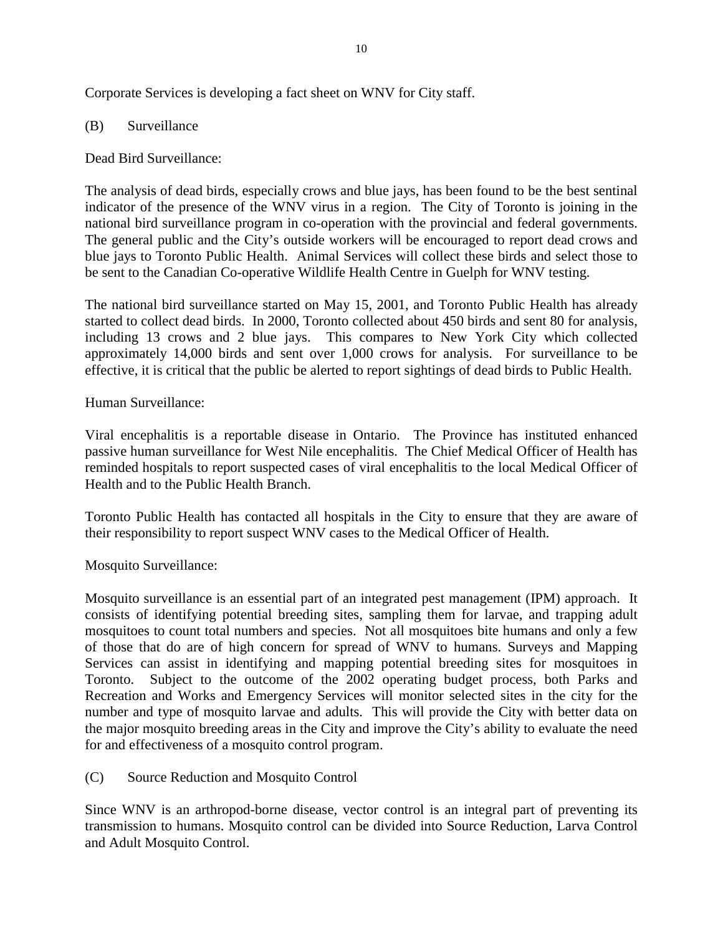Corporate Services is developing a fact sheet on WNV for City staff.

## (B) Surveillance

## Dead Bird Surveillance:

The analysis of dead birds, especially crows and blue jays, has been found to be the best sentinal indicator of the presence of the WNV virus in a region. The City of Toronto is joining in the national bird surveillance program in co-operation with the provincial and federal governments. The general public and the City's outside workers will be encouraged to report dead crows and blue jays to Toronto Public Health. Animal Services will collect these birds and select those to be sent to the Canadian Co-operative Wildlife Health Centre in Guelph for WNV testing.

The national bird surveillance started on May 15, 2001, and Toronto Public Health has already started to collect dead birds. In 2000, Toronto collected about 450 birds and sent 80 for analysis, including 13 crows and 2 blue jays. This compares to New York City which collected approximately 14,000 birds and sent over 1,000 crows for analysis. For surveillance to be effective, it is critical that the public be alerted to report sightings of dead birds to Public Health.

## Human Surveillance:

Viral encephalitis is a reportable disease in Ontario. The Province has instituted enhanced passive human surveillance for West Nile encephalitis. The Chief Medical Officer of Health has reminded hospitals to report suspected cases of viral encephalitis to the local Medical Officer of Health and to the Public Health Branch.

Toronto Public Health has contacted all hospitals in the City to ensure that they are aware of their responsibility to report suspect WNV cases to the Medical Officer of Health.

Mosquito Surveillance:

Mosquito surveillance is an essential part of an integrated pest management (IPM) approach. It consists of identifying potential breeding sites, sampling them for larvae, and trapping adult mosquitoes to count total numbers and species. Not all mosquitoes bite humans and only a few of those that do are of high concern for spread of WNV to humans. Surveys and Mapping Services can assist in identifying and mapping potential breeding sites for mosquitoes in Toronto. Subject to the outcome of the 2002 operating budget process, both Parks and Recreation and Works and Emergency Services will monitor selected sites in the city for the number and type of mosquito larvae and adults. This will provide the City with better data on the major mosquito breeding areas in the City and improve the City's ability to evaluate the need for and effectiveness of a mosquito control program.

(C) Source Reduction and Mosquito Control

Since WNV is an arthropod-borne disease, vector control is an integral part of preventing its transmission to humans. Mosquito control can be divided into Source Reduction, Larva Control and Adult Mosquito Control.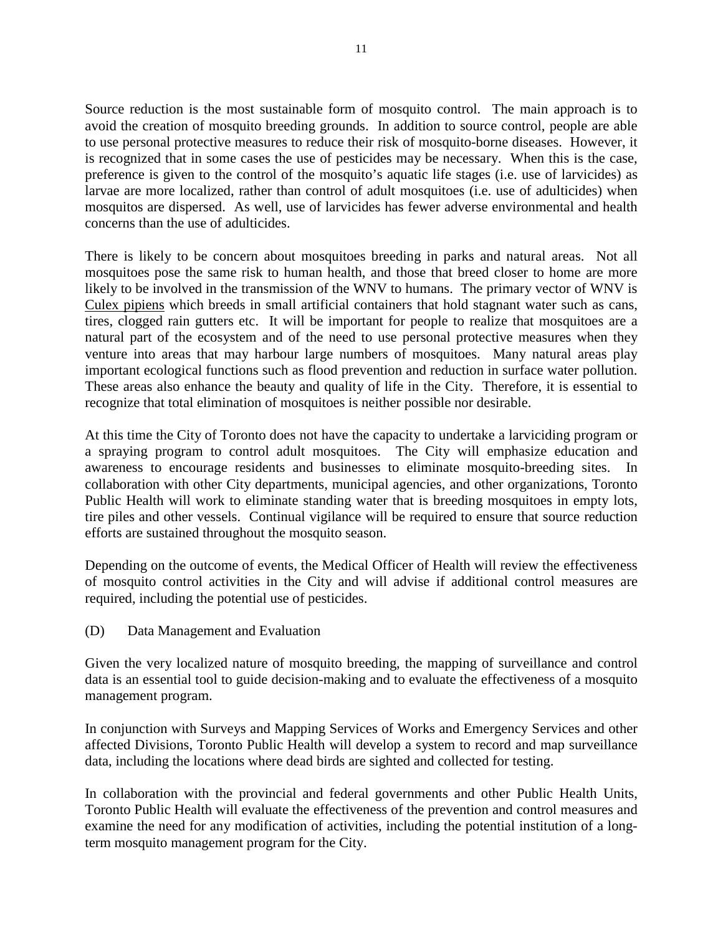Source reduction is the most sustainable form of mosquito control. The main approach is to avoid the creation of mosquito breeding grounds. In addition to source control, people are able to use personal protective measures to reduce their risk of mosquito-borne diseases. However, it is recognized that in some cases the use of pesticides may be necessary. When this is the case, preference is given to the control of the mosquito's aquatic life stages (i.e. use of larvicides) as larvae are more localized, rather than control of adult mosquitoes (i.e. use of adulticides) when mosquitos are dispersed. As well, use of larvicides has fewer adverse environmental and health concerns than the use of adulticides.

There is likely to be concern about mosquitoes breeding in parks and natural areas. Not all mosquitoes pose the same risk to human health, and those that breed closer to home are more likely to be involved in the transmission of the WNV to humans. The primary vector of WNV is Culex pipiens which breeds in small artificial containers that hold stagnant water such as cans, tires, clogged rain gutters etc. It will be important for people to realize that mosquitoes are a natural part of the ecosystem and of the need to use personal protective measures when they venture into areas that may harbour large numbers of mosquitoes. Many natural areas play important ecological functions such as flood prevention and reduction in surface water pollution. These areas also enhance the beauty and quality of life in the City. Therefore, it is essential to recognize that total elimination of mosquitoes is neither possible nor desirable.

At this time the City of Toronto does not have the capacity to undertake a larviciding program or a spraying program to control adult mosquitoes. The City will emphasize education and awareness to encourage residents and businesses to eliminate mosquito-breeding sites. In collaboration with other City departments, municipal agencies, and other organizations, Toronto Public Health will work to eliminate standing water that is breeding mosquitoes in empty lots, tire piles and other vessels. Continual vigilance will be required to ensure that source reduction efforts are sustained throughout the mosquito season.

Depending on the outcome of events, the Medical Officer of Health will review the effectiveness of mosquito control activities in the City and will advise if additional control measures are required, including the potential use of pesticides.

(D) Data Management and Evaluation

Given the very localized nature of mosquito breeding, the mapping of surveillance and control data is an essential tool to guide decision-making and to evaluate the effectiveness of a mosquito management program.

In conjunction with Surveys and Mapping Services of Works and Emergency Services and other affected Divisions, Toronto Public Health will develop a system to record and map surveillance data, including the locations where dead birds are sighted and collected for testing.

In collaboration with the provincial and federal governments and other Public Health Units, Toronto Public Health will evaluate the effectiveness of the prevention and control measures and examine the need for any modification of activities, including the potential institution of a longterm mosquito management program for the City.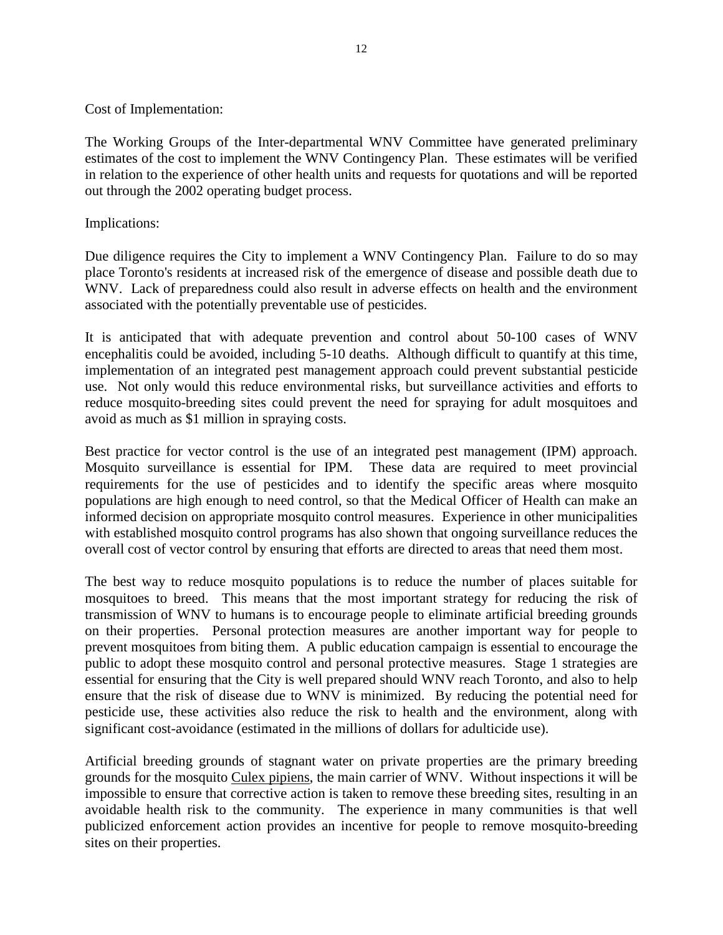Cost of Implementation:

The Working Groups of the Inter-departmental WNV Committee have generated preliminary estimates of the cost to implement the WNV Contingency Plan. These estimates will be verified in relation to the experience of other health units and requests for quotations and will be reported out through the 2002 operating budget process.

Implications:

Due diligence requires the City to implement a WNV Contingency Plan. Failure to do so may place Toronto's residents at increased risk of the emergence of disease and possible death due to WNV. Lack of preparedness could also result in adverse effects on health and the environment associated with the potentially preventable use of pesticides.

It is anticipated that with adequate prevention and control about 50-100 cases of WNV encephalitis could be avoided, including 5-10 deaths. Although difficult to quantify at this time, implementation of an integrated pest management approach could prevent substantial pesticide use. Not only would this reduce environmental risks, but surveillance activities and efforts to reduce mosquito-breeding sites could prevent the need for spraying for adult mosquitoes and avoid as much as \$1 million in spraying costs.

Best practice for vector control is the use of an integrated pest management (IPM) approach. Mosquito surveillance is essential for IPM. These data are required to meet provincial requirements for the use of pesticides and to identify the specific areas where mosquito populations are high enough to need control, so that the Medical Officer of Health can make an informed decision on appropriate mosquito control measures. Experience in other municipalities with established mosquito control programs has also shown that ongoing surveillance reduces the overall cost of vector control by ensuring that efforts are directed to areas that need them most.

The best way to reduce mosquito populations is to reduce the number of places suitable for mosquitoes to breed. This means that the most important strategy for reducing the risk of transmission of WNV to humans is to encourage people to eliminate artificial breeding grounds on their properties. Personal protection measures are another important way for people to prevent mosquitoes from biting them. A public education campaign is essential to encourage the public to adopt these mosquito control and personal protective measures. Stage 1 strategies are essential for ensuring that the City is well prepared should WNV reach Toronto, and also to help ensure that the risk of disease due to WNV is minimized. By reducing the potential need for pesticide use, these activities also reduce the risk to health and the environment, along with significant cost-avoidance (estimated in the millions of dollars for adulticide use).

Artificial breeding grounds of stagnant water on private properties are the primary breeding grounds for the mosquito Culex pipiens, the main carrier of WNV. Without inspections it will be impossible to ensure that corrective action is taken to remove these breeding sites, resulting in an avoidable health risk to the community. The experience in many communities is that well publicized enforcement action provides an incentive for people to remove mosquito-breeding sites on their properties.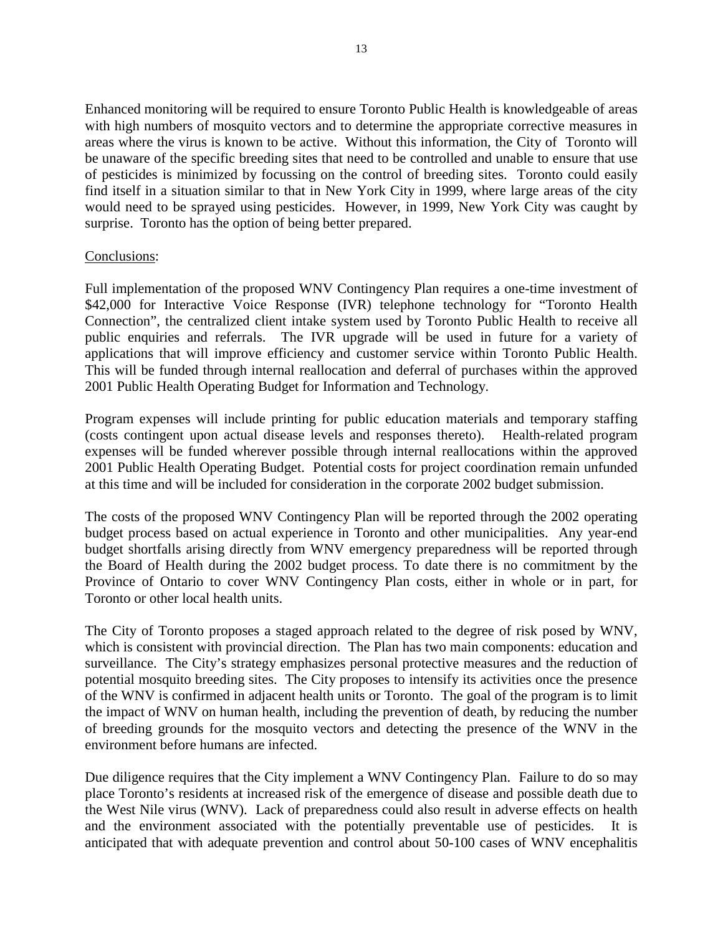Enhanced monitoring will be required to ensure Toronto Public Health is knowledgeable of areas with high numbers of mosquito vectors and to determine the appropriate corrective measures in areas where the virus is known to be active. Without this information, the City of Toronto will be unaware of the specific breeding sites that need to be controlled and unable to ensure that use of pesticides is minimized by focussing on the control of breeding sites. Toronto could easily find itself in a situation similar to that in New York City in 1999, where large areas of the city would need to be sprayed using pesticides. However, in 1999, New York City was caught by surprise. Toronto has the option of being better prepared.

#### Conclusions:

Full implementation of the proposed WNV Contingency Plan requires a one-time investment of \$42,000 for Interactive Voice Response (IVR) telephone technology for "Toronto Health Connection", the centralized client intake system used by Toronto Public Health to receive all public enquiries and referrals. The IVR upgrade will be used in future for a variety of applications that will improve efficiency and customer service within Toronto Public Health. This will be funded through internal reallocation and deferral of purchases within the approved 2001 Public Health Operating Budget for Information and Technology.

Program expenses will include printing for public education materials and temporary staffing (costs contingent upon actual disease levels and responses thereto). Health-related program expenses will be funded wherever possible through internal reallocations within the approved 2001 Public Health Operating Budget. Potential costs for project coordination remain unfunded at this time and will be included for consideration in the corporate 2002 budget submission.

The costs of the proposed WNV Contingency Plan will be reported through the 2002 operating budget process based on actual experience in Toronto and other municipalities. Any year-end budget shortfalls arising directly from WNV emergency preparedness will be reported through the Board of Health during the 2002 budget process. To date there is no commitment by the Province of Ontario to cover WNV Contingency Plan costs, either in whole or in part, for Toronto or other local health units.

The City of Toronto proposes a staged approach related to the degree of risk posed by WNV, which is consistent with provincial direction. The Plan has two main components: education and surveillance. The City's strategy emphasizes personal protective measures and the reduction of potential mosquito breeding sites. The City proposes to intensify its activities once the presence of the WNV is confirmed in adjacent health units or Toronto. The goal of the program is to limit the impact of WNV on human health, including the prevention of death, by reducing the number of breeding grounds for the mosquito vectors and detecting the presence of the WNV in the environment before humans are infected.

Due diligence requires that the City implement a WNV Contingency Plan. Failure to do so may place Toronto's residents at increased risk of the emergence of disease and possible death due to the West Nile virus (WNV). Lack of preparedness could also result in adverse effects on health and the environment associated with the potentially preventable use of pesticides. It is anticipated that with adequate prevention and control about 50-100 cases of WNV encephalitis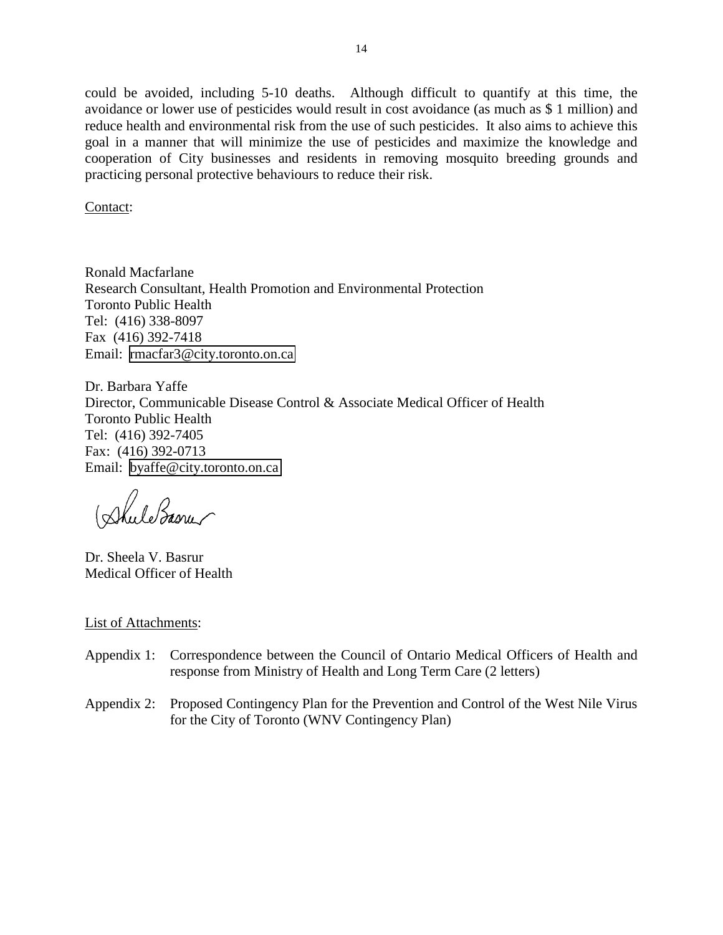could be avoided, including 5-10 deaths. Although difficult to quantify at this time, the avoidance or lower use of pesticides would result in cost avoidance (as much as \$ 1 million) and reduce health and environmental risk from the use of such pesticides. It also aims to achieve this goal in a manner that will minimize the use of pesticides and maximize the knowledge and cooperation of City businesses and residents in removing mosquito breeding grounds and practicing personal protective behaviours to reduce their risk.

Contact:

Ronald Macfarlane Research Consultant, Health Promotion and Environmental Protection Toronto Public Health Tel: (416) 338-8097 Fax (416) 392-7418 Email: [rmacfar3@city.toronto.on.ca](mailto:rmacfar3@city.toronto.on.ca)

Dr. Barbara Yaffe Director, Communicable Disease Control & Associate Medical Officer of Health Toronto Public Health Tel: (416) 392-7405 Fax: (416) 392-0713 Email: [byaffe@city.toronto.on.ca](mailto:byaffe@city.toronto.on.ca)

Dhule Basner

Dr. Sheela V. Basrur Medical Officer of Health

#### List of Attachments:

- Appendix 1: Correspondence between the Council of Ontario Medical Officers of Health and response from Ministry of Health and Long Term Care (2 letters)
- Appendix 2: Proposed Contingency Plan for the Prevention and Control of the West Nile Virus for the City of Toronto (WNV Contingency Plan)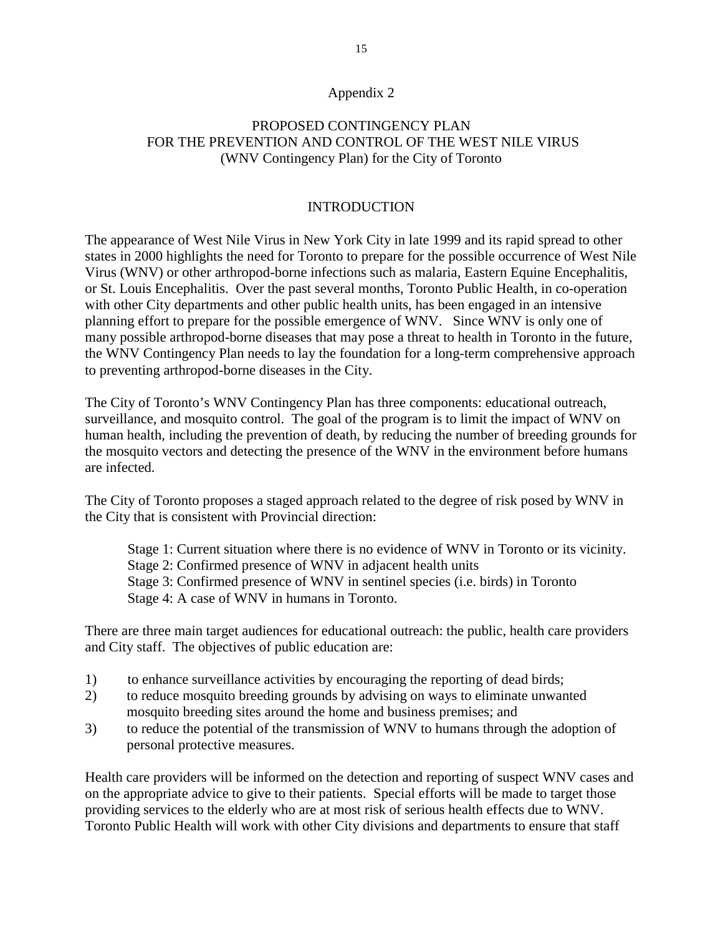#### Appendix 2

# PROPOSED CONTINGENCY PLAN FOR THE PREVENTION AND CONTROL OF THE WEST NILE VIRUS (WNV Contingency Plan) for the City of Toronto

## INTRODUCTION

The appearance of West Nile Virus in New York City in late 1999 and its rapid spread to other states in 2000 highlights the need for Toronto to prepare for the possible occurrence of West Nile Virus (WNV) or other arthropod-borne infections such as malaria, Eastern Equine Encephalitis, or St. Louis Encephalitis. Over the past several months, Toronto Public Health, in co-operation with other City departments and other public health units, has been engaged in an intensive planning effort to prepare for the possible emergence of WNV. Since WNV is only one of many possible arthropod-borne diseases that may pose a threat to health in Toronto in the future, the WNV Contingency Plan needs to lay the foundation for a long-term comprehensive approach to preventing arthropod-borne diseases in the City.

The City of Toronto's WNV Contingency Plan has three components: educational outreach, surveillance, and mosquito control. The goal of the program is to limit the impact of WNV on human health, including the prevention of death, by reducing the number of breeding grounds for the mosquito vectors and detecting the presence of the WNV in the environment before humans are infected.

The City of Toronto proposes a staged approach related to the degree of risk posed by WNV in the City that is consistent with Provincial direction:

Stage 1: Current situation where there is no evidence of WNV in Toronto or its vicinity. Stage 2: Confirmed presence of WNV in adjacent health units Stage 3: Confirmed presence of WNV in sentinel species (i.e. birds) in Toronto Stage 4: A case of WNV in humans in Toronto.

There are three main target audiences for educational outreach: the public, health care providers and City staff. The objectives of public education are:

- 1) to enhance surveillance activities by encouraging the reporting of dead birds;
- 2) to reduce mosquito breeding grounds by advising on ways to eliminate unwanted mosquito breeding sites around the home and business premises; and
- 3) to reduce the potential of the transmission of WNV to humans through the adoption of personal protective measures.

Health care providers will be informed on the detection and reporting of suspect WNV cases and on the appropriate advice to give to their patients. Special efforts will be made to target those providing services to the elderly who are at most risk of serious health effects due to WNV. Toronto Public Health will work with other City divisions and departments to ensure that staff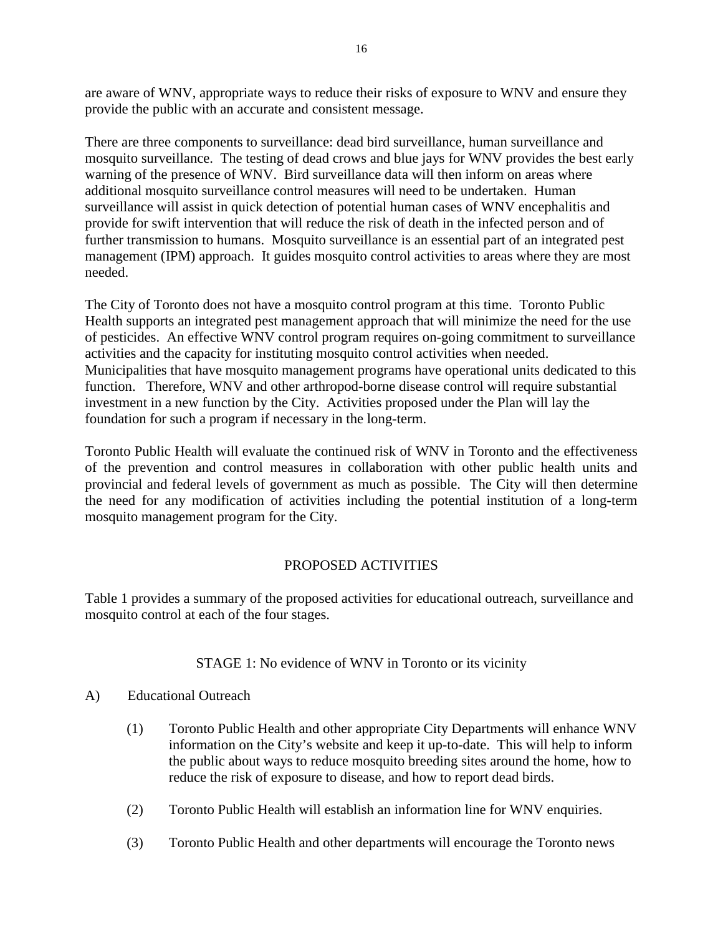are aware of WNV, appropriate ways to reduce their risks of exposure to WNV and ensure they provide the public with an accurate and consistent message.

There are three components to surveillance: dead bird surveillance, human surveillance and mosquito surveillance. The testing of dead crows and blue jays for WNV provides the best early warning of the presence of WNV. Bird surveillance data will then inform on areas where additional mosquito surveillance control measures will need to be undertaken. Human surveillance will assist in quick detection of potential human cases of WNV encephalitis and provide for swift intervention that will reduce the risk of death in the infected person and of further transmission to humans. Mosquito surveillance is an essential part of an integrated pest management (IPM) approach. It guides mosquito control activities to areas where they are most needed.

The City of Toronto does not have a mosquito control program at this time. Toronto Public Health supports an integrated pest management approach that will minimize the need for the use of pesticides. An effective WNV control program requires on-going commitment to surveillance activities and the capacity for instituting mosquito control activities when needed. Municipalities that have mosquito management programs have operational units dedicated to this function. Therefore, WNV and other arthropod-borne disease control will require substantial investment in a new function by the City. Activities proposed under the Plan will lay the foundation for such a program if necessary in the long-term.

Toronto Public Health will evaluate the continued risk of WNV in Toronto and the effectiveness of the prevention and control measures in collaboration with other public health units and provincial and federal levels of government as much as possible. The City will then determine the need for any modification of activities including the potential institution of a long-term mosquito management program for the City.

# PROPOSED ACTIVITIES

Table 1 provides a summary of the proposed activities for educational outreach, surveillance and mosquito control at each of the four stages.

# STAGE 1: No evidence of WNV in Toronto or its vicinity

# A) Educational Outreach

- (1) Toronto Public Health and other appropriate City Departments will enhance WNV information on the City's website and keep it up-to-date. This will help to inform the public about ways to reduce mosquito breeding sites around the home, how to reduce the risk of exposure to disease, and how to report dead birds.
- (2) Toronto Public Health will establish an information line for WNV enquiries.
- (3) Toronto Public Health and other departments will encourage the Toronto news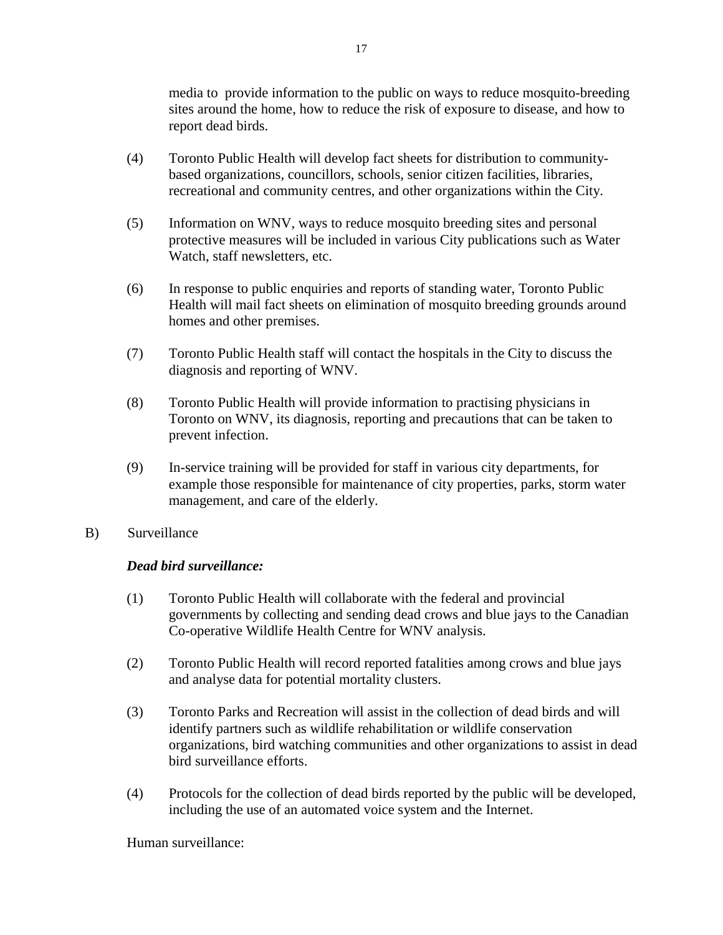media to provide information to the public on ways to reduce mosquito-breeding sites around the home, how to reduce the risk of exposure to disease, and how to report dead birds.

- (4) Toronto Public Health will develop fact sheets for distribution to communitybased organizations, councillors, schools, senior citizen facilities, libraries, recreational and community centres, and other organizations within the City.
- (5) Information on WNV, ways to reduce mosquito breeding sites and personal protective measures will be included in various City publications such as Water Watch, staff newsletters, etc.
- (6) In response to public enquiries and reports of standing water, Toronto Public Health will mail fact sheets on elimination of mosquito breeding grounds around homes and other premises.
- (7) Toronto Public Health staff will contact the hospitals in the City to discuss the diagnosis and reporting of WNV.
- (8) Toronto Public Health will provide information to practising physicians in Toronto on WNV, its diagnosis, reporting and precautions that can be taken to prevent infection.
- (9) In-service training will be provided for staff in various city departments, for example those responsible for maintenance of city properties, parks, storm water management, and care of the elderly.
- B) Surveillance

# *Dead bird surveillance:*

- (1) Toronto Public Health will collaborate with the federal and provincial governments by collecting and sending dead crows and blue jays to the Canadian Co-operative Wildlife Health Centre for WNV analysis.
- (2) Toronto Public Health will record reported fatalities among crows and blue jays and analyse data for potential mortality clusters.
- (3) Toronto Parks and Recreation will assist in the collection of dead birds and will identify partners such as wildlife rehabilitation or wildlife conservation organizations, bird watching communities and other organizations to assist in dead bird surveillance efforts.
- (4) Protocols for the collection of dead birds reported by the public will be developed, including the use of an automated voice system and the Internet.

Human surveillance: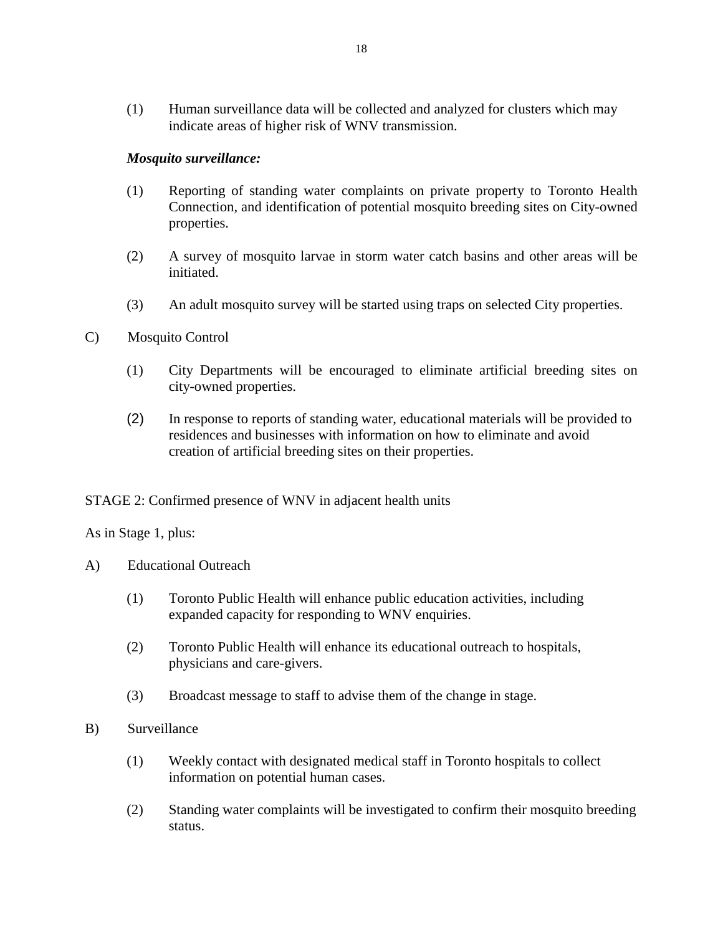(1) Human surveillance data will be collected and analyzed for clusters which may indicate areas of higher risk of WNV transmission.

## *Mosquito surveillance:*

- (1) Reporting of standing water complaints on private property to Toronto Health Connection, and identification of potential mosquito breeding sites on City-owned properties.
- (2) A survey of mosquito larvae in storm water catch basins and other areas will be initiated.
- (3) An adult mosquito survey will be started using traps on selected City properties.
- C) Mosquito Control
	- (1) City Departments will be encouraged to eliminate artificial breeding sites on city-owned properties.
	- (2) In response to reports of standing water, educational materials will be provided to residences and businesses with information on how to eliminate and avoid creation of artificial breeding sites on their properties.

## STAGE 2: Confirmed presence of WNV in adjacent health units

As in Stage 1, plus:

- A) Educational Outreach
	- (1) Toronto Public Health will enhance public education activities, including expanded capacity for responding to WNV enquiries.
	- (2) Toronto Public Health will enhance its educational outreach to hospitals, physicians and care-givers.
	- (3) Broadcast message to staff to advise them of the change in stage.
- B) Surveillance
	- (1) Weekly contact with designated medical staff in Toronto hospitals to collect information on potential human cases.
	- (2) Standing water complaints will be investigated to confirm their mosquito breeding status.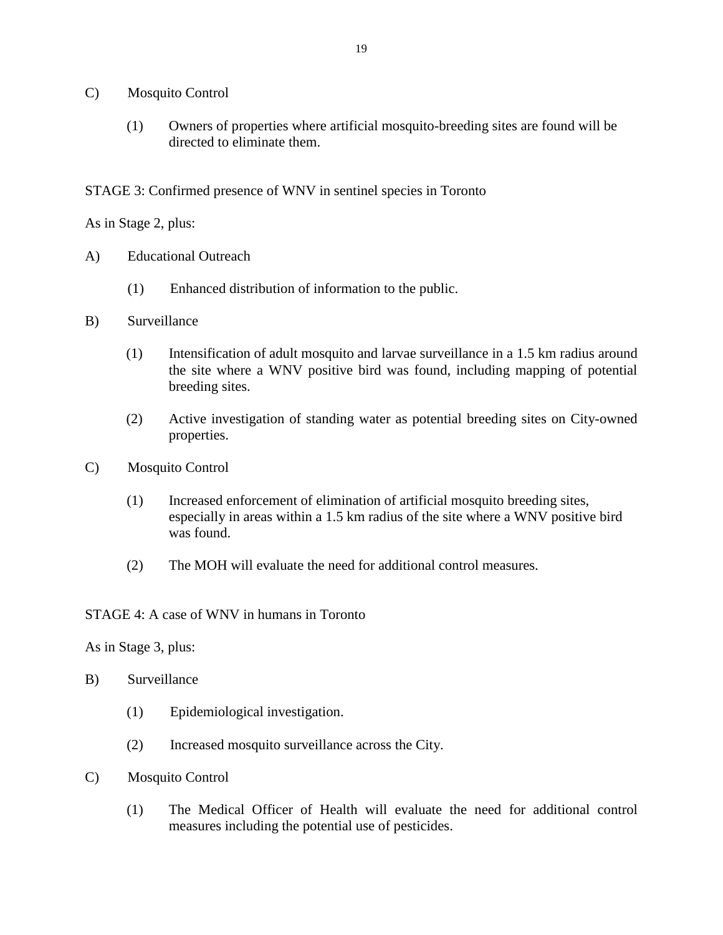- C) Mosquito Control
	- (1) Owners of properties where artificial mosquito-breeding sites are found will be directed to eliminate them.

STAGE 3: Confirmed presence of WNV in sentinel species in Toronto

As in Stage 2, plus:

- A) Educational Outreach
	- (1) Enhanced distribution of information to the public.
- B) Surveillance
	- (1) Intensification of adult mosquito and larvae surveillance in a 1.5 km radius around the site where a WNV positive bird was found, including mapping of potential breeding sites.
	- (2) Active investigation of standing water as potential breeding sites on City-owned properties.
- C) Mosquito Control
	- (1) Increased enforcement of elimination of artificial mosquito breeding sites, especially in areas within a 1.5 km radius of the site where a WNV positive bird was found.
	- (2) The MOH will evaluate the need for additional control measures.

#### STAGE 4: A case of WNV in humans in Toronto

As in Stage 3, plus:

- B) Surveillance
	- (1) Epidemiological investigation.
	- (2) Increased mosquito surveillance across the City.
- C) Mosquito Control
	- (1) The Medical Officer of Health will evaluate the need for additional control measures including the potential use of pesticides.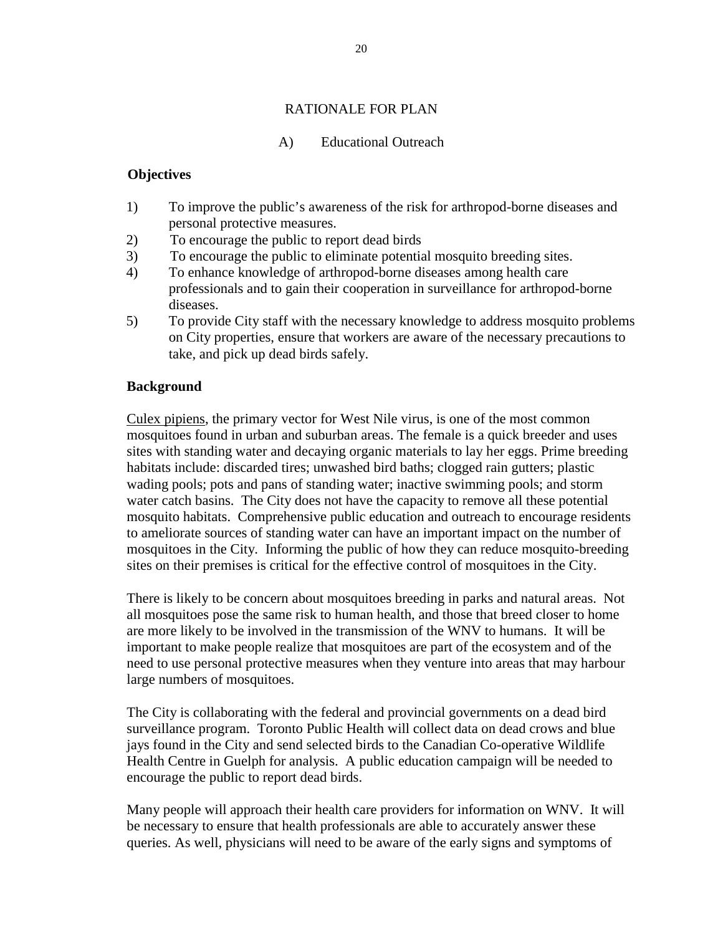# RATIONALE FOR PLAN

## A) Educational Outreach

## **Objectives**

- 1) To improve the public's awareness of the risk for arthropod-borne diseases and personal protective measures.
- 2) To encourage the public to report dead birds
- 3) To encourage the public to eliminate potential mosquito breeding sites.
- 4) To enhance knowledge of arthropod-borne diseases among health care professionals and to gain their cooperation in surveillance for arthropod-borne diseases.
- 5) To provide City staff with the necessary knowledge to address mosquito problems on City properties, ensure that workers are aware of the necessary precautions to take, and pick up dead birds safely.

# **Background**

Culex pipiens, the primary vector for West Nile virus, is one of the most common mosquitoes found in urban and suburban areas. The female is a quick breeder and uses sites with standing water and decaying organic materials to lay her eggs. Prime breeding habitats include: discarded tires; unwashed bird baths; clogged rain gutters; plastic wading pools; pots and pans of standing water; inactive swimming pools; and storm water catch basins. The City does not have the capacity to remove all these potential mosquito habitats. Comprehensive public education and outreach to encourage residents to ameliorate sources of standing water can have an important impact on the number of mosquitoes in the City. Informing the public of how they can reduce mosquito-breeding sites on their premises is critical for the effective control of mosquitoes in the City.

There is likely to be concern about mosquitoes breeding in parks and natural areas. Not all mosquitoes pose the same risk to human health, and those that breed closer to home are more likely to be involved in the transmission of the WNV to humans. It will be important to make people realize that mosquitoes are part of the ecosystem and of the need to use personal protective measures when they venture into areas that may harbour large numbers of mosquitoes.

The City is collaborating with the federal and provincial governments on a dead bird surveillance program. Toronto Public Health will collect data on dead crows and blue jays found in the City and send selected birds to the Canadian Co-operative Wildlife Health Centre in Guelph for analysis. A public education campaign will be needed to encourage the public to report dead birds.

Many people will approach their health care providers for information on WNV. It will be necessary to ensure that health professionals are able to accurately answer these queries. As well, physicians will need to be aware of the early signs and symptoms of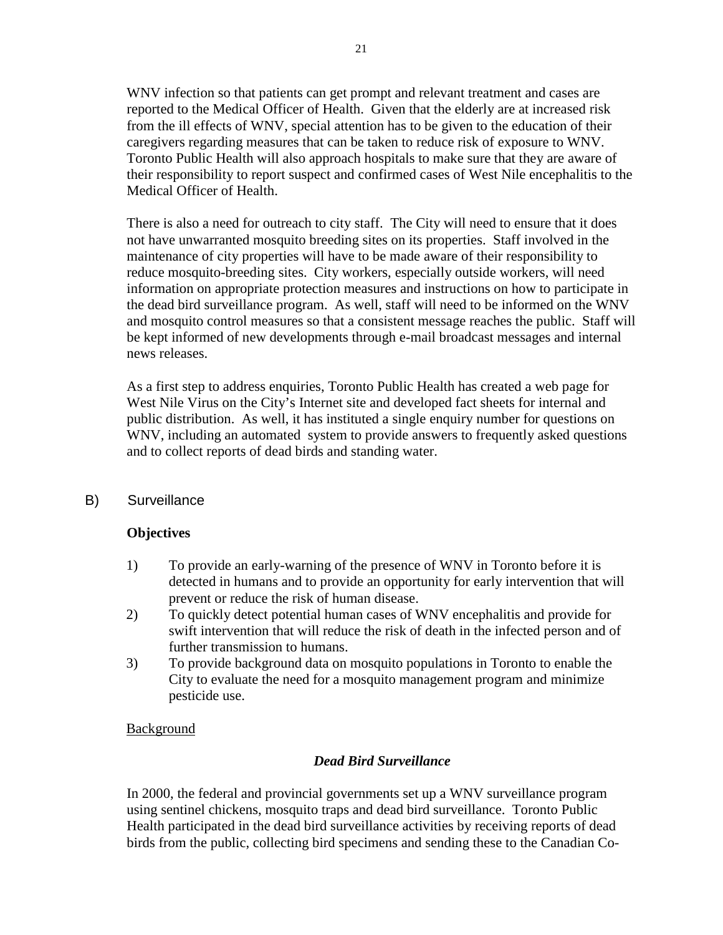WNV infection so that patients can get prompt and relevant treatment and cases are reported to the Medical Officer of Health. Given that the elderly are at increased risk from the ill effects of WNV, special attention has to be given to the education of their caregivers regarding measures that can be taken to reduce risk of exposure to WNV. Toronto Public Health will also approach hospitals to make sure that they are aware of their responsibility to report suspect and confirmed cases of West Nile encephalitis to the Medical Officer of Health.

There is also a need for outreach to city staff. The City will need to ensure that it does not have unwarranted mosquito breeding sites on its properties. Staff involved in the maintenance of city properties will have to be made aware of their responsibility to reduce mosquito-breeding sites. City workers, especially outside workers, will need information on appropriate protection measures and instructions on how to participate in the dead bird surveillance program. As well, staff will need to be informed on the WNV and mosquito control measures so that a consistent message reaches the public. Staff will be kept informed of new developments through e-mail broadcast messages and internal news releases.

As a first step to address enquiries, Toronto Public Health has created a web page for West Nile Virus on the City's Internet site and developed fact sheets for internal and public distribution. As well, it has instituted a single enquiry number for questions on WNV, including an automated system to provide answers to frequently asked questions and to collect reports of dead birds and standing water.

B) Surveillance

# **Objectives**

- 1) To provide an early-warning of the presence of WNV in Toronto before it is detected in humans and to provide an opportunity for early intervention that will prevent or reduce the risk of human disease.
- 2) To quickly detect potential human cases of WNV encephalitis and provide for swift intervention that will reduce the risk of death in the infected person and of further transmission to humans.
- 3) To provide background data on mosquito populations in Toronto to enable the City to evaluate the need for a mosquito management program and minimize pesticide use.

## Background

# *Dead Bird Surveillance*

In 2000, the federal and provincial governments set up a WNV surveillance program using sentinel chickens, mosquito traps and dead bird surveillance. Toronto Public Health participated in the dead bird surveillance activities by receiving reports of dead birds from the public, collecting bird specimens and sending these to the Canadian Co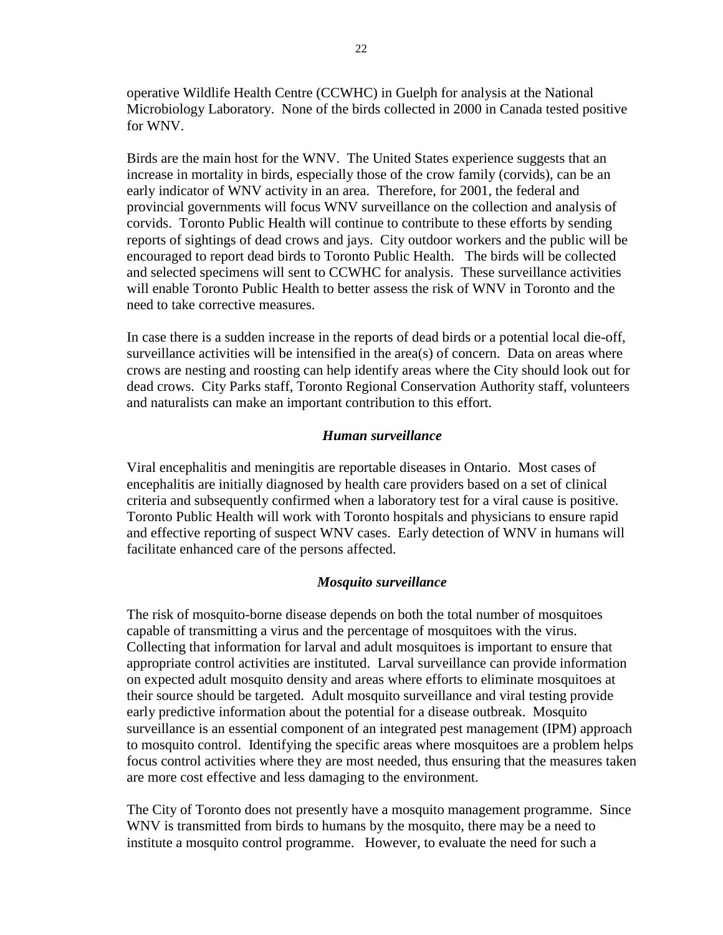operative Wildlife Health Centre (CCWHC) in Guelph for analysis at the National Microbiology Laboratory. None of the birds collected in 2000 in Canada tested positive for WNV.

Birds are the main host for the WNV. The United States experience suggests that an increase in mortality in birds, especially those of the crow family (corvids), can be an early indicator of WNV activity in an area. Therefore, for 2001, the federal and provincial governments will focus WNV surveillance on the collection and analysis of corvids. Toronto Public Health will continue to contribute to these efforts by sending reports of sightings of dead crows and jays. City outdoor workers and the public will be encouraged to report dead birds to Toronto Public Health. The birds will be collected and selected specimens will sent to CCWHC for analysis. These surveillance activities will enable Toronto Public Health to better assess the risk of WNV in Toronto and the need to take corrective measures.

In case there is a sudden increase in the reports of dead birds or a potential local die-off, surveillance activities will be intensified in the area(s) of concern. Data on areas where crows are nesting and roosting can help identify areas where the City should look out for dead crows. City Parks staff, Toronto Regional Conservation Authority staff, volunteers and naturalists can make an important contribution to this effort.

#### *Human surveillance*

Viral encephalitis and meningitis are reportable diseases in Ontario. Most cases of encephalitis are initially diagnosed by health care providers based on a set of clinical criteria and subsequently confirmed when a laboratory test for a viral cause is positive. Toronto Public Health will work with Toronto hospitals and physicians to ensure rapid and effective reporting of suspect WNV cases. Early detection of WNV in humans will facilitate enhanced care of the persons affected.

## *Mosquito surveillance*

The risk of mosquito-borne disease depends on both the total number of mosquitoes capable of transmitting a virus and the percentage of mosquitoes with the virus. Collecting that information for larval and adult mosquitoes is important to ensure that appropriate control activities are instituted. Larval surveillance can provide information on expected adult mosquito density and areas where efforts to eliminate mosquitoes at their source should be targeted. Adult mosquito surveillance and viral testing provide early predictive information about the potential for a disease outbreak. Mosquito surveillance is an essential component of an integrated pest management (IPM) approach to mosquito control. Identifying the specific areas where mosquitoes are a problem helps focus control activities where they are most needed, thus ensuring that the measures taken are more cost effective and less damaging to the environment.

The City of Toronto does not presently have a mosquito management programme. Since WNV is transmitted from birds to humans by the mosquito, there may be a need to institute a mosquito control programme. However, to evaluate the need for such a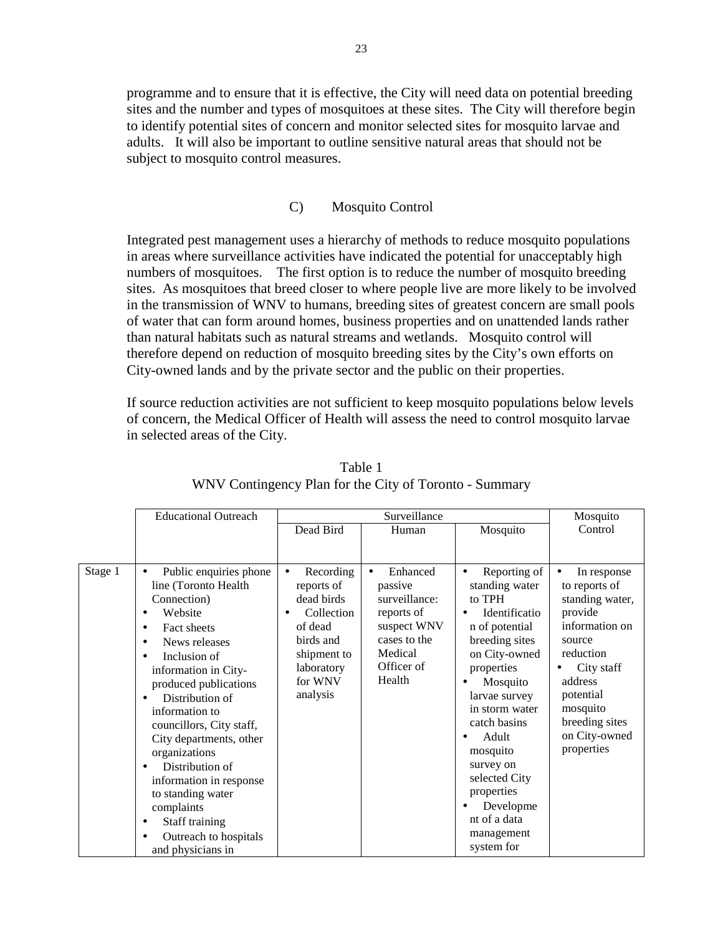programme and to ensure that it is effective, the City will need data on potential breeding sites and the number and types of mosquitoes at these sites. The City will therefore begin to identify potential sites of concern and monitor selected sites for mosquito larvae and adults. It will also be important to outline sensitive natural areas that should not be subject to mosquito control measures.

#### C) Mosquito Control

Integrated pest management uses a hierarchy of methods to reduce mosquito populations in areas where surveillance activities have indicated the potential for unacceptably high numbers of mosquitoes. The first option is to reduce the number of mosquito breeding sites. As mosquitoes that breed closer to where people live are more likely to be involved in the transmission of WNV to humans, breeding sites of greatest concern are small pools of water that can form around homes, business properties and on unattended lands rather than natural habitats such as natural streams and wetlands. Mosquito control will therefore depend on reduction of mosquito breeding sites by the City's own efforts on City-owned lands and by the private sector and the public on their properties.

If source reduction activities are not sufficient to keep mosquito populations below levels of concern, the Medical Officer of Health will assess the need to control mosquito larvae in selected areas of the City.

|         | <b>Educational Outreach</b>                                                                                                                                                                                                                                                                                                                                                                                                                                            |                                                                                                                                              | Mosquito                                                                                                                          |                                                                                                                                                                                                                                                                                                                                    |                                                                                                                                                                                                                     |
|---------|------------------------------------------------------------------------------------------------------------------------------------------------------------------------------------------------------------------------------------------------------------------------------------------------------------------------------------------------------------------------------------------------------------------------------------------------------------------------|----------------------------------------------------------------------------------------------------------------------------------------------|-----------------------------------------------------------------------------------------------------------------------------------|------------------------------------------------------------------------------------------------------------------------------------------------------------------------------------------------------------------------------------------------------------------------------------------------------------------------------------|---------------------------------------------------------------------------------------------------------------------------------------------------------------------------------------------------------------------|
|         |                                                                                                                                                                                                                                                                                                                                                                                                                                                                        | Dead Bird                                                                                                                                    | Human                                                                                                                             | Mosquito                                                                                                                                                                                                                                                                                                                           | Control                                                                                                                                                                                                             |
|         |                                                                                                                                                                                                                                                                                                                                                                                                                                                                        |                                                                                                                                              |                                                                                                                                   |                                                                                                                                                                                                                                                                                                                                    |                                                                                                                                                                                                                     |
| Stage 1 | Public enquiries phone<br>$\bullet$<br>line (Toronto Health<br>Connection)<br>Website<br>Fact sheets<br>$\bullet$<br>News releases<br>٠<br>Inclusion of<br>information in City-<br>produced publications<br>Distribution of<br>information to<br>councillors, City staff,<br>City departments, other<br>organizations<br>Distribution of<br>information in response<br>to standing water<br>complaints<br>Staff training<br>Outreach to hospitals<br>and physicians in | Recording<br>$\bullet$<br>reports of<br>dead birds<br>Collection<br>of dead<br>birds and<br>shipment to<br>laboratory<br>for WNV<br>analysis | Enhanced<br>$\bullet$<br>passive<br>surveillance:<br>reports of<br>suspect WNV<br>cases to the<br>Medical<br>Officer of<br>Health | Reporting of<br>$\bullet$<br>standing water<br>to TPH<br>Identificatio<br>n of potential<br>breeding sites<br>on City-owned<br>properties<br>Mosquito<br>larvae survey<br>in storm water<br>catch basins<br>Adult<br>mosquito<br>survey on<br>selected City<br>properties<br>Developme<br>nt of a data<br>management<br>system for | In response<br>$\bullet$<br>to reports of<br>standing water,<br>provide<br>information on<br>source<br>reduction<br>City staff<br>address<br>potential<br>mosquito<br>breeding sites<br>on City-owned<br>properties |

Table 1 WNV Contingency Plan for the City of Toronto - Summary